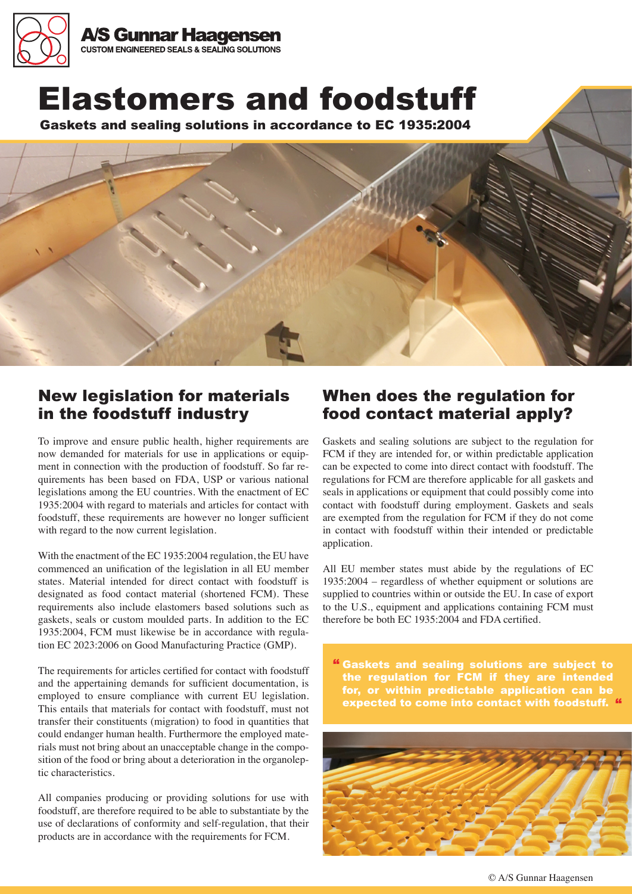

Elastomers and foodstuff

Gaskets and sealing solutions in accordance to EC 1935:2004



# New legislation for materials in the foodstuff industry

To improve and ensure public health, higher requirements are now demanded for materials for use in applications or equipment in connection with the production of foodstuff. So far requirements has been based on FDA, USP or various national legislations among the EU countries. With the enactment of EC 1935:2004 with regard to materials and articles for contact with foodstuff, these requirements are however no longer sufficient with regard to the now current legislation.

With the enactment of the EC 1935:2004 regulation, the EU have commenced an unification of the legislation in all EU member states. Material intended for direct contact with foodstuff is designated as food contact material (shortened FCM). These requirements also include elastomers based solutions such as gaskets, seals or custom moulded parts. In addition to the EC 1935:2004, FCM must likewise be in accordance with regulation EC 2023:2006 on Good Manufacturing Practice (GMP).

The requirements for articles certified for contact with foodstuff and the appertaining demands for sufficient documentation, is employed to ensure compliance with current EU legislation. This entails that materials for contact with foodstuff, must not transfer their constituents (migration) to food in quantities that could endanger human health. Furthermore the employed materials must not bring about an unacceptable change in the composition of the food or bring about a deterioration in the organoleptic characteristics.

All companies producing or providing solutions for use with foodstuff, are therefore required to be able to substantiate by the use of declarations of conformity and self-regulation, that their products are in accordance with the requirements for FCM.

# When does the regulation for food contact material apply?

Gaskets and sealing solutions are subject to the regulation for FCM if they are intended for, or within predictable application can be expected to come into direct contact with foodstuff. The regulations for FCM are therefore applicable for all gaskets and seals in applications or equipment that could possibly come into contact with foodstuff during employment. Gaskets and seals are exempted from the regulation for FCM if they do not come in contact with foodstuff within their intended or predictable application.

All EU member states must abide by the regulations of EC 1935:2004 – regardless of whether equipment or solutions are supplied to countries within or outside the EU. In case of export to the U.S., equipment and applications containing FCM must therefore be both EC 1935:2004 and FDA certified.

" Gaskets and sealing solutions are subject to the regulation for FCM if they are intended for, or within predictable application can be expected to come into contact with foodstuff. "



© A/S Gunnar Haagensen